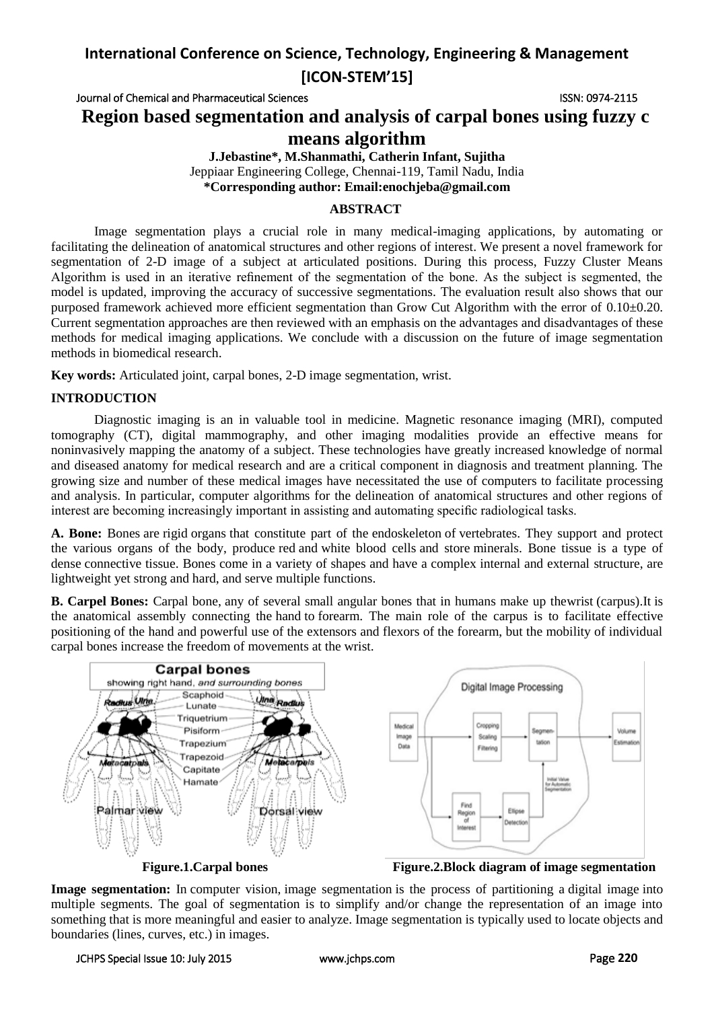## **International Conference on Science, Technology, Engineering & Management [ICON-STEM'15]**

Journal of Chemical and Pharmaceutical Sciences ISSN: 0974-2115

**Region based segmentation and analysis of carpal bones using fuzzy c** 

## **means algorithm**

**J.Jebastine\*, M.Shanmathi, Catherin Infant, Sujitha** Jeppiaar Engineering College, Chennai-119, Tamil Nadu, India **\*Corresponding author: Email:enochjeba@gmail.com**

### **ABSTRACT**

Image segmentation plays a crucial role in many medical-imaging applications, by automating or facilitating the delineation of anatomical structures and other regions of interest. We present a novel framework for segmentation of 2-D image of a subject at articulated positions. During this process, Fuzzy Cluster Means Algorithm is used in an iterative refinement of the segmentation of the bone. As the subject is segmented, the model is updated, improving the accuracy of successive segmentations. The evaluation result also shows that our purposed framework achieved more efficient segmentation than Grow Cut Algorithm with the error of 0.10±0.20. Current segmentation approaches are then reviewed with an emphasis on the advantages and disadvantages of these methods for medical imaging applications. We conclude with a discussion on the future of image segmentation methods in biomedical research.

**Key words:** Articulated joint, carpal bones, 2-D image segmentation, wrist.

### **INTRODUCTION**

Diagnostic imaging is an in valuable tool in medicine. Magnetic resonance imaging (MRI), computed tomography (CT), digital mammography, and other imaging modalities provide an effective means for noninvasively mapping the anatomy of a subject. These technologies have greatly increased knowledge of normal and diseased anatomy for medical research and are a critical component in diagnosis and treatment planning. The growing size and number of these medical images have necessitated the use of computers to facilitate processing and analysis. In particular, computer algorithms for the delineation of anatomical structures and other regions of interest are becoming increasingly important in assisting and automating specific radiological tasks.

**A. Bone:** Bones are [rigid](http://en.wikipedia.org/wiki/Stiffness) [organs](http://en.wikipedia.org/wiki/Organ_(anatomy)) that constitute part of the [endoskeleton](http://en.wikipedia.org/wiki/Endoskeleton) of [vertebrates.](http://en.wikipedia.org/wiki/Vertebrate) They support and protect the various organs of the body, produce [red](http://en.wikipedia.org/wiki/Red_blood_cell) and [white blood cells](http://en.wikipedia.org/wiki/White_blood_cell) and store [minerals.](http://en.wikipedia.org/wiki/Mineral) Bone tissue is a type of dense [connective tissue.](http://en.wikipedia.org/wiki/Connective_tissue) Bones come in a variety of shapes and have a complex internal and external [structure,](http://en.wikipedia.org/wiki/Structure) are lightweight yet strong and hard, and serve multiple [functions.](http://en.wikipedia.org/wiki/Function_(biology))

**B. Carpel Bones:** Carpal bone, any of several small angular bones that in humans make up th[ewrist](http://www.britannica.com/EBchecked/topic/649635/wrist) (carpus).It is the anatomical assembly connecting the [hand](http://en.wikipedia.org/wiki/Hand) to [forearm.](http://en.wikipedia.org/wiki/Forearm) The main role of the carpus is to facilitate effective positioning of the hand and powerful use of the extensors and flexors of the forearm, but the mobility of individual carpal bones increase the freedom of movements at the wrist.



**Figure.1.Carpal bones Figure.2.Block diagram of image segmentation**

**Image segmentation:** In [computer vision,](http://en.wikipedia.org/wiki/Computer_vision) image segmentation is the process of partitioning a [digital image](http://en.wikipedia.org/wiki/Digital_image) into multiple segments. The goal of segmentation is to simplify and/or change the representation of an image into something that is more meaningful and easier to analyze. Image segmentation is typically used to locate objects and boundaries (lines, curves, etc.) in images.

#### JCHPS Special Issue 10: July 2015 [www.jchps.com](http://www.jchps.com/) Page **220**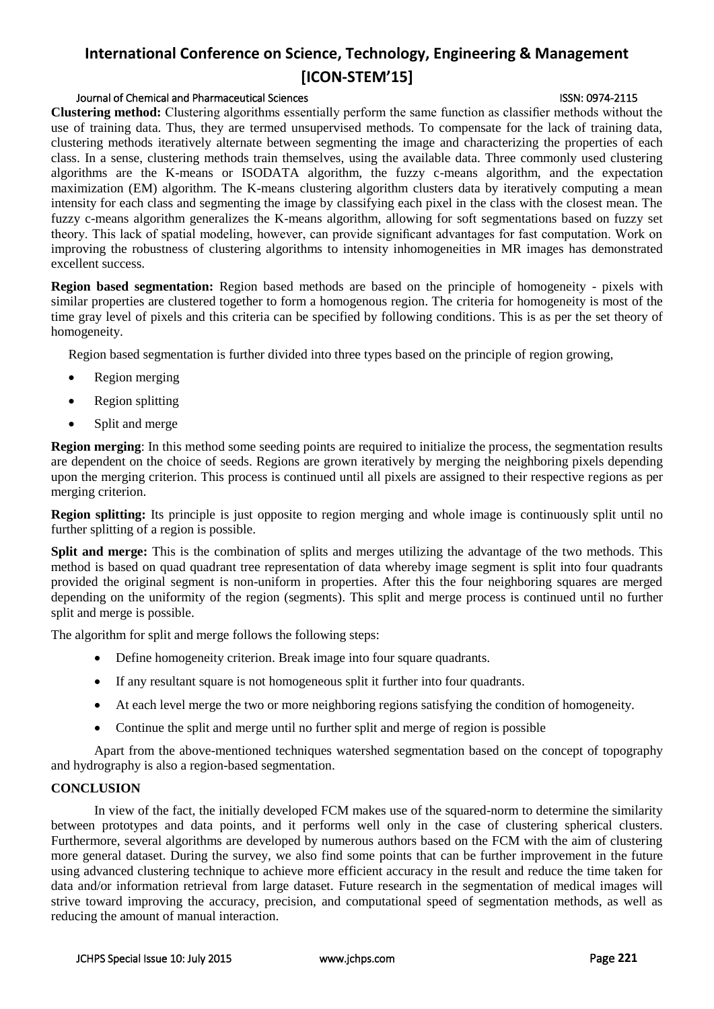# **International Conference on Science, Technology, Engineering & Management [ICON-STEM'15]**

#### Journal of Chemical and Pharmaceutical Sciences ISSN: 0974-2115

**Clustering method:** Clustering algorithms essentially perform the same function as classifier methods without the use of training data. Thus, they are termed unsupervised methods. To compensate for the lack of training data, clustering methods iteratively alternate between segmenting the image and characterizing the properties of each class. In a sense, clustering methods train themselves, using the available data. Three commonly used clustering algorithms are the K-means or ISODATA algorithm, the fuzzy c-means algorithm, and the expectation maximization (EM) algorithm. The K-means clustering algorithm clusters data by iteratively computing a mean intensity for each class and segmenting the image by classifying each pixel in the class with the closest mean. The fuzzy c-means algorithm generalizes the K-means algorithm, allowing for soft segmentations based on fuzzy set theory. This lack of spatial modeling, however, can provide significant advantages for fast computation. Work on improving the robustness of clustering algorithms to intensity inhomogeneities in MR images has demonstrated excellent success.

**Region based segmentation:** Region based methods are based on the principle of homogeneity - pixels with similar properties are clustered together to form a homogenous region. The criteria for homogeneity is most of the time gray level of pixels and this criteria can be specified by following conditions. This is as per the set theory of homogeneity.

Region based segmentation is further divided into three types based on the principle of region growing,

- Region merging
- Region splitting
- Split and merge

**Region merging**: In this method some seeding points are required to initialize the process, the segmentation results are dependent on the choice of seeds. Regions are grown iteratively by merging the neighboring pixels depending upon the merging criterion. This process is continued until all pixels are assigned to their respective regions as per merging criterion.

**Region splitting:** Its principle is just opposite to region merging and whole image is continuously split until no further splitting of a region is possible.

**Split and merge:** This is the combination of splits and merges utilizing the advantage of the two methods. This method is based on quad quadrant tree representation of data whereby image segment is split into four quadrants provided the original segment is non-uniform in properties. After this the four neighboring squares are merged depending on the uniformity of the region (segments). This split and merge process is continued until no further split and merge is possible.

The algorithm for split and merge follows the following steps:

- Define homogeneity criterion. Break image into four square quadrants.
- If any resultant square is not homogeneous split it further into four quadrants.
- At each level merge the two or more neighboring regions satisfying the condition of homogeneity.
- Continue the split and merge until no further split and merge of region is possible

Apart from the above-mentioned techniques watershed segmentation based on the concept of topography and hydrography is also a region-based segmentation.

#### **CONCLUSION**

In view of the fact, the initially developed FCM makes use of the squared-norm to determine the similarity between prototypes and data points, and it performs well only in the case of clustering spherical clusters. Furthermore, several algorithms are developed by numerous authors based on the FCM with the aim of clustering more general dataset. During the survey, we also find some points that can be further improvement in the future using advanced clustering technique to achieve more efficient accuracy in the result and reduce the time taken for data and/or information retrieval from large dataset. Future research in the segmentation of medical images will strive toward improving the accuracy, precision, and computational speed of segmentation methods, as well as reducing the amount of manual interaction.